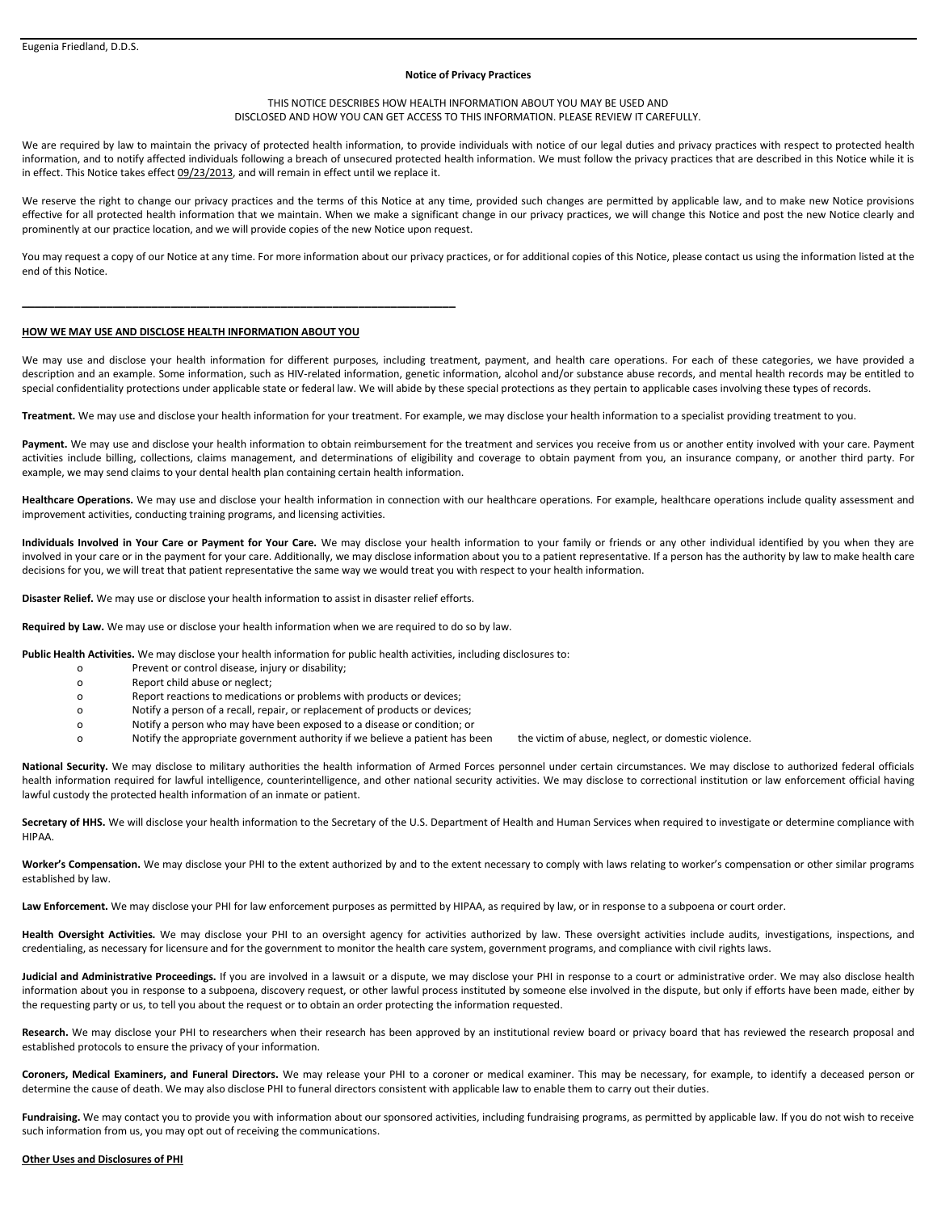### **Notice of Privacy Practices**

# THIS NOTICE DESCRIBES HOW HEALTH INFORMATION ABOUT YOU MAY BE USED AND DISCLOSED AND HOW YOU CAN GET ACCESS TO THIS INFORMATION. PLEASE REVIEW IT CAREFULLY.

We are required by law to maintain the privacy of protected health information, to provide individuals with notice of our legal duties and privacy practices with respect to protected health information, and to notify affected individuals following a breach of unsecured protected health information. We must follow the privacy practices that are described in this Notice while it is in effect. This Notice takes effect 09/23/2013, and will remain in effect until we replace it.

We reserve the right to change our privacy practices and the terms of this Notice at any time, provided such changes are permitted by applicable law, and to make new Notice provisions effective for all protected health information that we maintain. When we make a significant change in our privacy practices, we will change this Notice and post the new Notice clearly and prominently at our practice location, and we will provide copies of the new Notice upon request.

You may request a copy of our Notice at any time. For more information about our privacy practices, or for additional copies of this Notice, please contact us using the information listed at the end of this Notice.

#### **HOW WE MAY USE AND DISCLOSE HEALTH INFORMATION ABOUT YOU**

**\_\_\_\_\_\_\_\_\_\_\_\_\_\_\_\_\_\_\_\_\_\_\_\_\_\_\_\_\_\_\_\_\_\_\_\_\_\_\_\_\_\_\_\_\_\_\_\_\_\_\_\_\_\_\_\_\_\_\_\_\_\_\_\_\_\_\_**

We may use and disclose your health information for different purposes, including treatment, payment, and health care operations. For each of these categories, we have provided a description and an example. Some information, such as HIV-related information, genetic information, alcohol and/or substance abuse records, and mental health records may be entitled to special confidentiality protections under applicable state or federal law. We will abide by these special protections as they pertain to applicable cases involving these types of records.

**Treatment.** We may use and disclose your health information for your treatment. For example, we may disclose your health information to a specialist providing treatment to you.

Payment. We may use and disclose your health information to obtain reimbursement for the treatment and services you receive from us or another entity involved with your care. Payment activities include billing, collections, claims management, and determinations of eligibility and coverage to obtain payment from you, an insurance company, or another third party. For example, we may send claims to your dental health plan containing certain health information.

Healthcare Operations. We may use and disclose your health information in connection with our healthcare operations. For example, healthcare operations include quality assessment and improvement activities, conducting training programs, and licensing activities.

**Individuals Involved in Your Care or Payment for Your Care.** We may disclose your health information to your family or friends or any other individual identified by you when they are involved in your care or in the payment for your care. Additionally, we may disclose information about you to a patient representative. If a person has the authority by law to make health care decisions for you, we will treat that patient representative the same way we would treat you with respect to your health information.

**Disaster Relief.** We may use or disclose your health information to assist in disaster relief efforts.

**Required by Law.** We may use or disclose your health information when we are required to do so by law.

**Public Health Activities.** We may disclose your health information for public health activities, including disclosures to:

- o Prevent or control disease, injury or disability;
	- o Report child abuse or neglect;
	- o Report reactions to medications or problems with products or devices;
	- o Notify a person of a recall, repair, or replacement of products or devices;
	- o Notify a person who may have been exposed to a disease or condition; or
		- Notify the appropriate government authority if we believe a patient has been the victim of abuse, neglect, or domestic violence.

**National Security.** We may disclose to military authorities the health information of Armed Forces personnel under certain circumstances. We may disclose to authorized federal officials health information required for lawful intelligence, counterintelligence, and other national security activities. We may disclose to correctional institution or law enforcement official having lawful custody the protected health information of an inmate or patient.

Secretary of HHS. We will disclose your health information to the Secretary of the U.S. Department of Health and Human Services when required to investigate or determine compliance with HIPAA.

Worker's Compensation. We may disclose your PHI to the extent authorized by and to the extent necessary to comply with laws relating to worker's compensation or other similar programs established by law.

Law Enforcement. We may disclose your PHI for law enforcement purposes as permitted by HIPAA, as required by law, or in response to a subpoena or court order.

Health Oversight Activities. We may disclose your PHI to an oversight agency for activities authorized by law. These oversight activities include audits, investigations, inspections, and credentialing, as necessary for licensure and for the government to monitor the health care system, government programs, and compliance with civil rights laws.

Judicial and Administrative Proceedings. If you are involved in a lawsuit or a dispute, we may disclose your PHI in response to a court or administrative order. We may also disclose health information about you in response to a subpoena, discovery request, or other lawful process instituted by someone else involved in the dispute, but only if efforts have been made, either by the requesting party or us, to tell you about the request or to obtain an order protecting the information requested.

Research. We may disclose your PHI to researchers when their research has been approved by an institutional review board or privacy board that has reviewed the research proposal and established protocols to ensure the privacy of your information.

Coroners, Medical Examiners, and Funeral Directors. We may release your PHI to a coroner or medical examiner. This may be necessary, for example, to identify a deceased person or determine the cause of death. We may also disclose PHI to funeral directors consistent with applicable law to enable them to carry out their duties.

Fundraising. We may contact you to provide you with information about our sponsored activities, including fundraising programs, as permitted by applicable law. If you do not wish to receive such information from us, you may opt out of receiving the communications.

# **Other Uses and Disclosures of PHI**